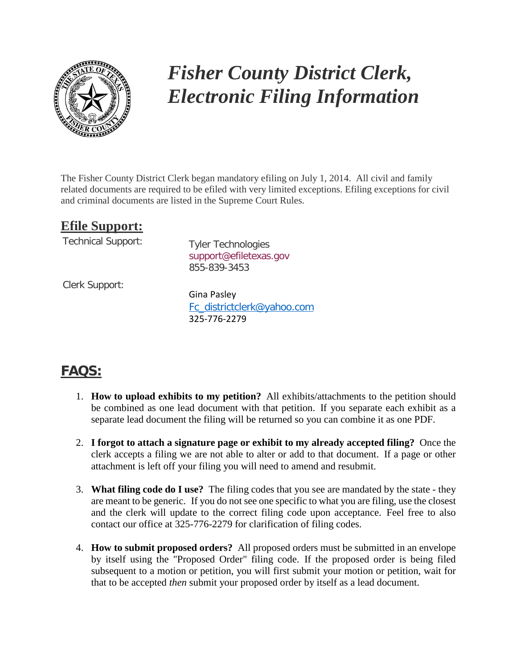

## *Fisher County District Clerk, Electronic Filing Information*

The Fisher County District Clerk began mandatory efiling on July 1, 2014. All civil and family related documents are required to be efiled with very limited exceptions. Efiling exceptions for civil and criminal documents are listed in the Supreme Court Rules.

## **Efile Support:**

Technical Support: Tyler Technologies

[support@efiletexas.gov](mailto:support@efiletexas.gov) 855-839-3453

Clerk Support:

Gina Pasley [Fc\\_districtclerk@yahoo.com](mailto:Fc_districtclerk@yahoo.com) 325-776-2279

## **FAQS:**

- 1. **How to upload exhibits to my petition?** All exhibits/attachments to the petition should be combined as one lead document with that petition. If you separate each exhibit as a separate lead document the filing will be returned so you can combine it as one PDF.
- 2. **I forgot to attach a signature page or exhibit to my already accepted filing?** Once the clerk accepts a filing we are not able to alter or add to that document. If a page or other attachment is left off your filing you will need to amend and resubmit.
- 3. **What filing code do I use?** The filing codes that you see are mandated by the state they are meant to be generic. If you do not see one specific to what you are filing, use the closest and the clerk will update to the correct filing code upon acceptance. Feel free to also contact our office at 325-776-2279 for clarification of filing codes.
- 4. **How to submit proposed orders?** All proposed orders must be submitted in an envelope by itself using the "Proposed Order" filing code. If the proposed order is being filed subsequent to a motion or petition, you will first submit your motion or petition, wait for that to be accepted *then* submit your proposed order by itself as a lead document.